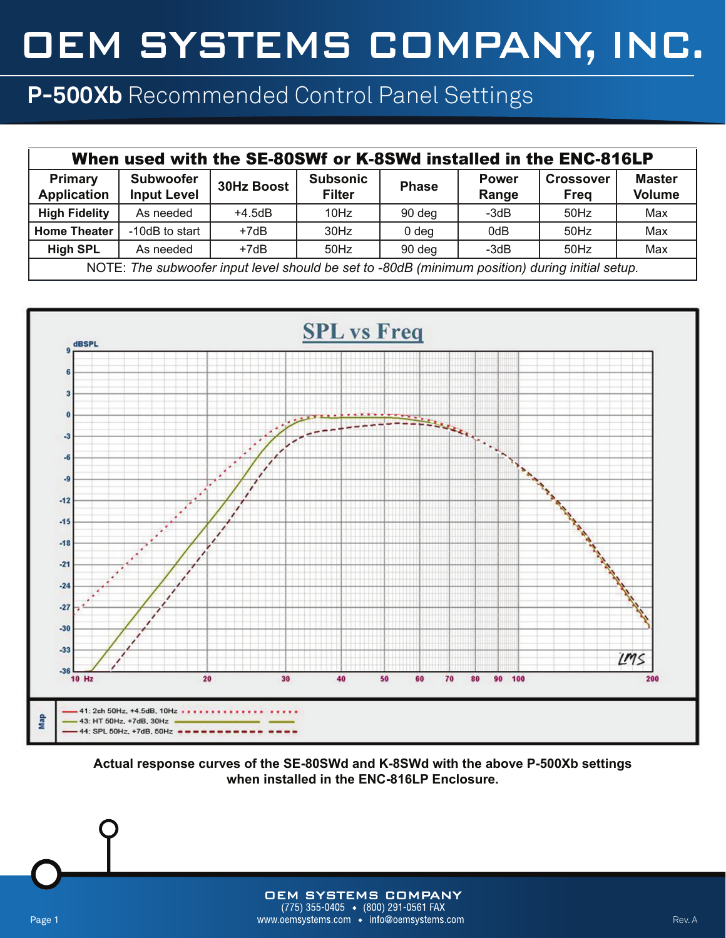## OEM SYSTEMS COMPANY, INC.

## **P-500Xb** Recommended Control Panel Settings

| When used with the SE-80SWf or K-8SWd installed in the ENC-816LP                                |                                        |                   |                                  |                  |                       |                                 |                                |  |  |  |
|-------------------------------------------------------------------------------------------------|----------------------------------------|-------------------|----------------------------------|------------------|-----------------------|---------------------------------|--------------------------------|--|--|--|
| <b>Primary</b><br><b>Application</b>                                                            | <b>Subwoofer</b><br><b>Input Level</b> | <b>30Hz Boost</b> | <b>Subsonic</b><br><b>Filter</b> | <b>Phase</b>     | <b>Power</b><br>Range | <b>Crossover</b><br><b>Freq</b> | <b>Master</b><br><b>Volume</b> |  |  |  |
| <b>High Fidelity</b>                                                                            | As needed                              | $+4.5dB$          | 10Hz                             | 90 deg           | $-3dB$                | 50Hz                            | Max                            |  |  |  |
| <b>Home Theater</b>                                                                             | -10dB to start                         | $+7dB$            | $30$ Hz                          | 0 <sub>deg</sub> | 0dB                   | $50$ Hz                         | Max                            |  |  |  |
| <b>High SPL</b>                                                                                 | As needed                              | $+7dB$            | $50$ Hz                          | 90 deg           | $-3dB$                | 50Hz                            | Max                            |  |  |  |
| NOTE: The subwoofer input level should be set to -80dB (minimum position) during initial setup. |                                        |                   |                                  |                  |                       |                                 |                                |  |  |  |



**Actual response curves of the SE-80SWd and K-8SWd with the above P-500Xb settings when installed in the ENC-816LP Enclosure.**